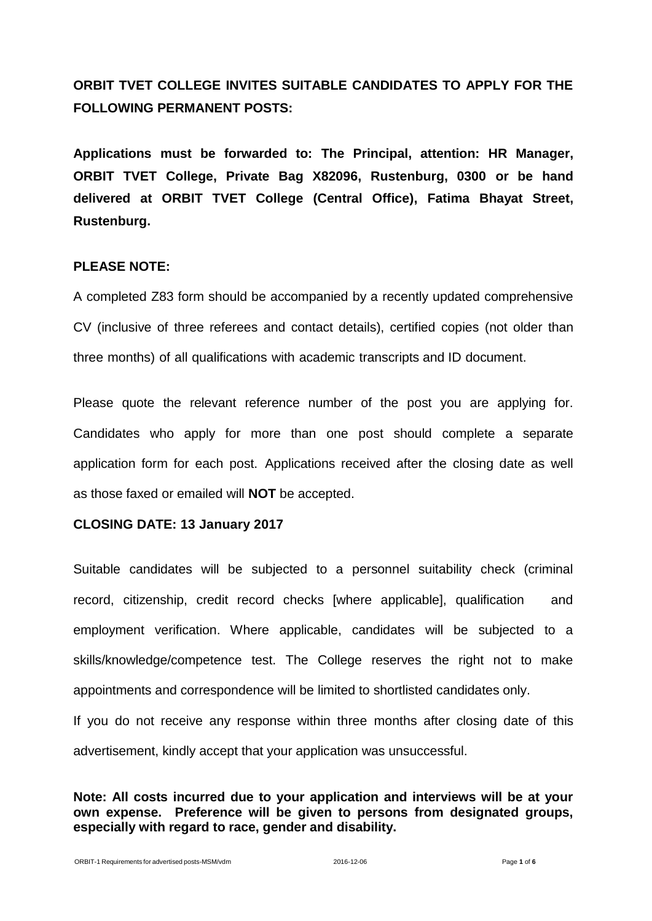# **ORBIT TVET COLLEGE INVITES SUITABLE CANDIDATES TO APPLY FOR THE FOLLOWING PERMANENT POSTS:**

**Applications must be forwarded to: The Principal, attention: HR Manager, ORBIT TVET College, Private Bag X82096, Rustenburg, 0300 or be hand delivered at ORBIT TVET College (Central Office), Fatima Bhayat Street, Rustenburg.**

#### **PLEASE NOTE:**

A completed Z83 form should be accompanied by a recently updated comprehensive CV (inclusive of three referees and contact details), certified copies (not older than three months) of all qualifications with academic transcripts and ID document.

Please quote the relevant reference number of the post you are applying for. Candidates who apply for more than one post should complete a separate application form for each post. Applications received after the closing date as well as those faxed or emailed will **NOT** be accepted.

## **CLOSING DATE: 13 January 2017**

Suitable candidates will be subjected to a personnel suitability check (criminal record, citizenship, credit record checks [where applicable], qualification and employment verification. Where applicable, candidates will be subjected to a skills/knowledge/competence test. The College reserves the right not to make appointments and correspondence will be limited to shortlisted candidates only. If you do not receive any response within three months after closing date of this advertisement, kindly accept that your application was unsuccessful.

**Note: All costs incurred due to your application and interviews will be at your own expense. Preference will be given to persons from designated groups, especially with regard to race, gender and disability.**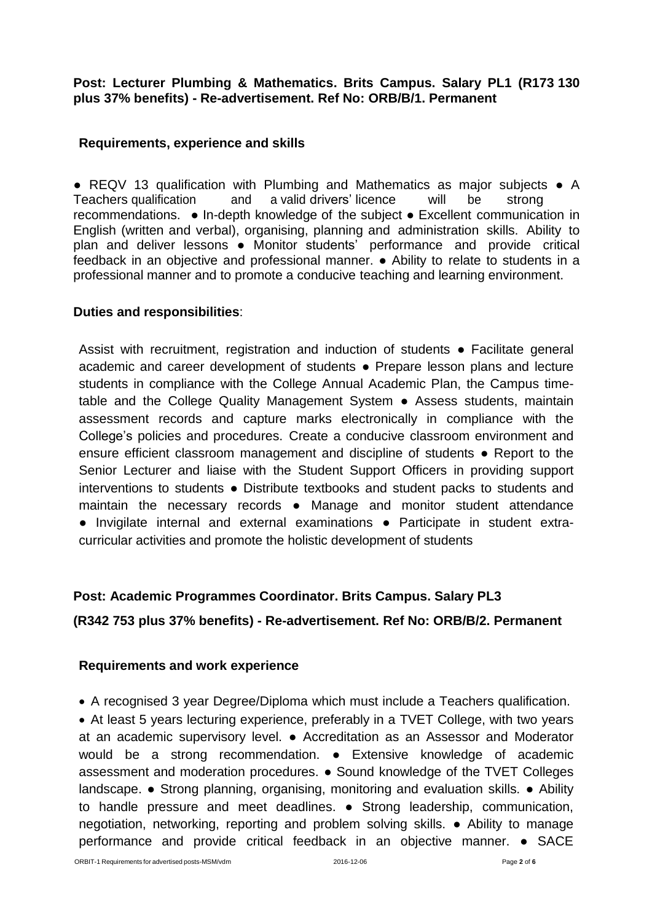## **Post: Lecturer Plumbing & Mathematics. Brits Campus. Salary PL1 (R173 130 plus 37% benefits) - Re-advertisement. Ref No: ORB/B/1. Permanent**

## **Requirements, experience and skills**

● REQV 13 qualification with Plumbing and Mathematics as major subjects ● A Teachers qualification and a valid drivers' licence will be strong recommendations. ● In-depth knowledge of the subject ● Excellent communication in English (written and verbal), organising, planning and administration skills. Ability to plan and deliver lessons . Monitor students' performance and provide critical feedback in an objective and professional manner. ● Ability to relate to students in a professional manner and to promote a conducive teaching and learning environment.

# **Duties and responsibilities**:

Assist with recruitment, registration and induction of students ● Facilitate general academic and career development of students ● Prepare lesson plans and lecture students in compliance with the College Annual Academic Plan, the Campus timetable and the College Quality Management System ● Assess students, maintain assessment records and capture marks electronically in compliance with the College's policies and procedures. Create a conducive classroom environment and ensure efficient classroom management and discipline of students ● Report to the Senior Lecturer and liaise with the Student Support Officers in providing support interventions to students ● Distribute textbooks and student packs to students and maintain the necessary records ● Manage and monitor student attendance ● Invigilate internal and external examinations ● Participate in student extracurricular activities and promote the holistic development of students

# **Post: Academic Programmes Coordinator. Brits Campus. Salary PL3**

## **(R342 753 plus 37% benefits) - Re-advertisement. Ref No: ORB/B/2. Permanent**

## **Requirements and work experience**

A recognised 3 year Degree/Diploma which must include a Teachers qualification.

 At least 5 years lecturing experience, preferably in a TVET College, with two years at an academic supervisory level. ● Accreditation as an Assessor and Moderator would be a strong recommendation. • Extensive knowledge of academic assessment and moderation procedures. ● Sound knowledge of the TVET Colleges landscape. ● Strong planning, organising, monitoring and evaluation skills. ● Ability to handle pressure and meet deadlines. ● Strong leadership, communication, negotiation, networking, reporting and problem solving skills. ● Ability to manage performance and provide critical feedback in an objective manner. ● SACE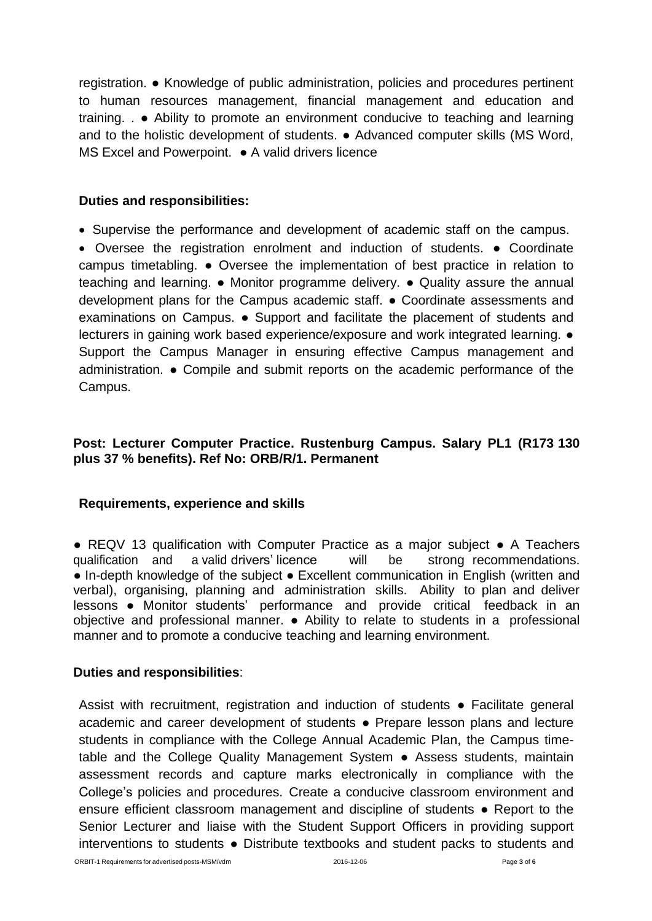registration. ● Knowledge of public administration, policies and procedures pertinent to human resources management, financial management and education and training. . ● Ability to promote an environment conducive to teaching and learning and to the holistic development of students. ● Advanced computer skills (MS Word, MS Excel and Powerpoint. • A valid drivers licence

## **Duties and responsibilities:**

• Supervise the performance and development of academic staff on the campus.

 Oversee the registration enrolment and induction of students. ● Coordinate campus timetabling. ● Oversee the implementation of best practice in relation to teaching and learning. ● Monitor programme delivery. ● Quality assure the annual development plans for the Campus academic staff. ● Coordinate assessments and examinations on Campus. ● Support and facilitate the placement of students and lecturers in gaining work based experience/exposure and work integrated learning. ● Support the Campus Manager in ensuring effective Campus management and administration. ● Compile and submit reports on the academic performance of the Campus.

# **Post: Lecturer Computer Practice. Rustenburg Campus. Salary PL1 (R173 130 plus 37 % benefits). Ref No: ORB/R/1. Permanent**

## **Requirements, experience and skills**

● REQV 13 qualification with Computer Practice as a major subject • A Teachers qualification and a valid drivers' licence will be strong recommendations. ● In-depth knowledge of the subject ● Excellent communication in English (written and verbal), organising, planning and administration skills. Ability to plan and deliver lessons ● Monitor students' performance and provide critical feedback in an objective and professional manner. ● Ability to relate to students in a professional manner and to promote a conducive teaching and learning environment.

## **Duties and responsibilities**:

Assist with recruitment, registration and induction of students ● Facilitate general academic and career development of students ● Prepare lesson plans and lecture students in compliance with the College Annual Academic Plan, the Campus timetable and the College Quality Management System ● Assess students, maintain assessment records and capture marks electronically in compliance with the College's policies and procedures. Create a conducive classroom environment and ensure efficient classroom management and discipline of students • Report to the Senior Lecturer and liaise with the Student Support Officers in providing support interventions to students ● Distribute textbooks and student packs to students and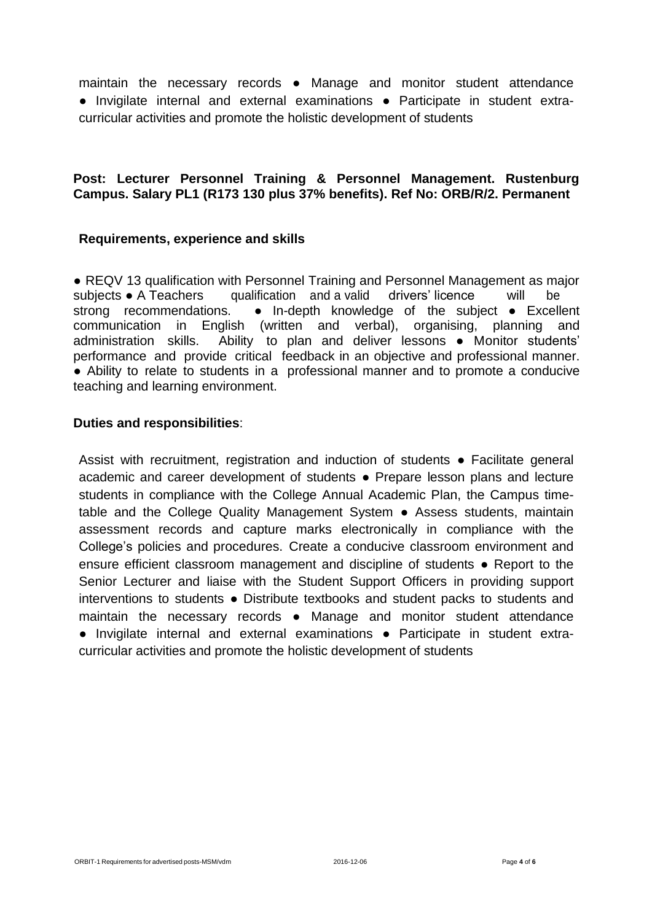maintain the necessary records ● Manage and monitor student attendance ● Invigilate internal and external examinations ● Participate in student extracurricular activities and promote the holistic development of students

## **Post: Lecturer Personnel Training & Personnel Management. Rustenburg Campus. Salary PL1 (R173 130 plus 37% benefits). Ref No: ORB/R/2. Permanent**

## **Requirements, experience and skills**

● REQV 13 qualification with Personnel Training and Personnel Management as major subjects ● A Teachers qualification and a valid drivers' licence will be strong recommendations. • In-depth knowledge of the subject • Excellent communication in English (written and verbal), organising, planning and administration skills. Ability to plan and deliver lessons ● Monitor students' performance and provide critical feedback in an objective and professional manner. ● Ability to relate to students in a professional manner and to promote a conducive teaching and learning environment.

#### **Duties and responsibilities**:

Assist with recruitment, registration and induction of students • Facilitate general academic and career development of students ● Prepare lesson plans and lecture students in compliance with the College Annual Academic Plan, the Campus timetable and the College Quality Management System ● Assess students, maintain assessment records and capture marks electronically in compliance with the College's policies and procedures. Create a conducive classroom environment and ensure efficient classroom management and discipline of students ● Report to the Senior Lecturer and liaise with the Student Support Officers in providing support interventions to students ● Distribute textbooks and student packs to students and maintain the necessary records ● Manage and monitor student attendance ● Invigilate internal and external examinations ● Participate in student extracurricular activities and promote the holistic development of students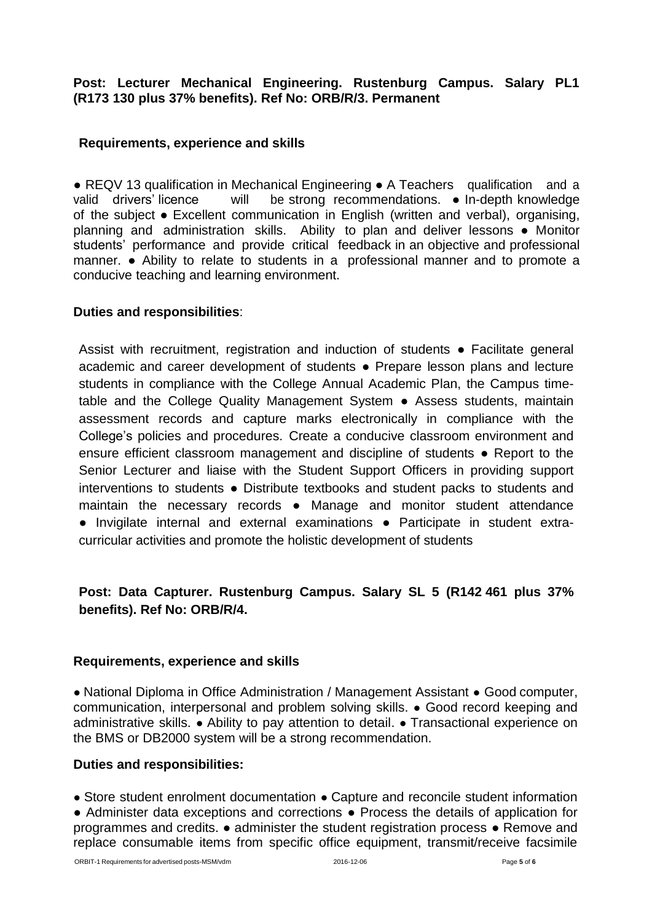**Post: Lecturer Mechanical Engineering. Rustenburg Campus. Salary PL1 (R173 130 plus 37% benefits). Ref No: ORB/R/3. Permanent**

## **Requirements, experience and skills**

● REQV 13 qualification in Mechanical Engineering ● A Teachers qualification and a valid drivers' licence will be strong recommendations. • In-depth knowledge of the subject ● Excellent communication in English (written and verbal), organising, planning and administration skills. Ability to plan and deliver lessons ● Monitor students' performance and provide critical feedback in an objective and professional manner. ● Ability to relate to students in a professional manner and to promote a conducive teaching and learning environment.

#### **Duties and responsibilities**:

Assist with recruitment, registration and induction of students ● Facilitate general academic and career development of students ● Prepare lesson plans and lecture students in compliance with the College Annual Academic Plan, the Campus timetable and the College Quality Management System ● Assess students, maintain assessment records and capture marks electronically in compliance with the College's policies and procedures. Create a conducive classroom environment and ensure efficient classroom management and discipline of students ● Report to the Senior Lecturer and liaise with the Student Support Officers in providing support interventions to students ● Distribute textbooks and student packs to students and maintain the necessary records ● Manage and monitor student attendance ● Invigilate internal and external examinations ● Participate in student extracurricular activities and promote the holistic development of students

# **Post: Data Capturer. Rustenburg Campus. Salary SL 5 (R142 461 plus 37% benefits). Ref No: ORB/R/4.**

#### **Requirements, experience and skills**

● National Diploma in Office Administration / Management Assistant ● Good computer, communication, interpersonal and problem solving skills. ● Good record keeping and administrative skills. ● Ability to pay attention to detail. ● Transactional experience on the BMS or DB2000 system will be a strong recommendation.

#### **Duties and responsibilities:**

● Store student enrolment documentation ● Capture and reconcile student information ● Administer data exceptions and corrections ● Process the details of application for programmes and credits. ● administer the student registration process ● Remove and replace consumable items from specific office equipment, transmit/receive facsimile